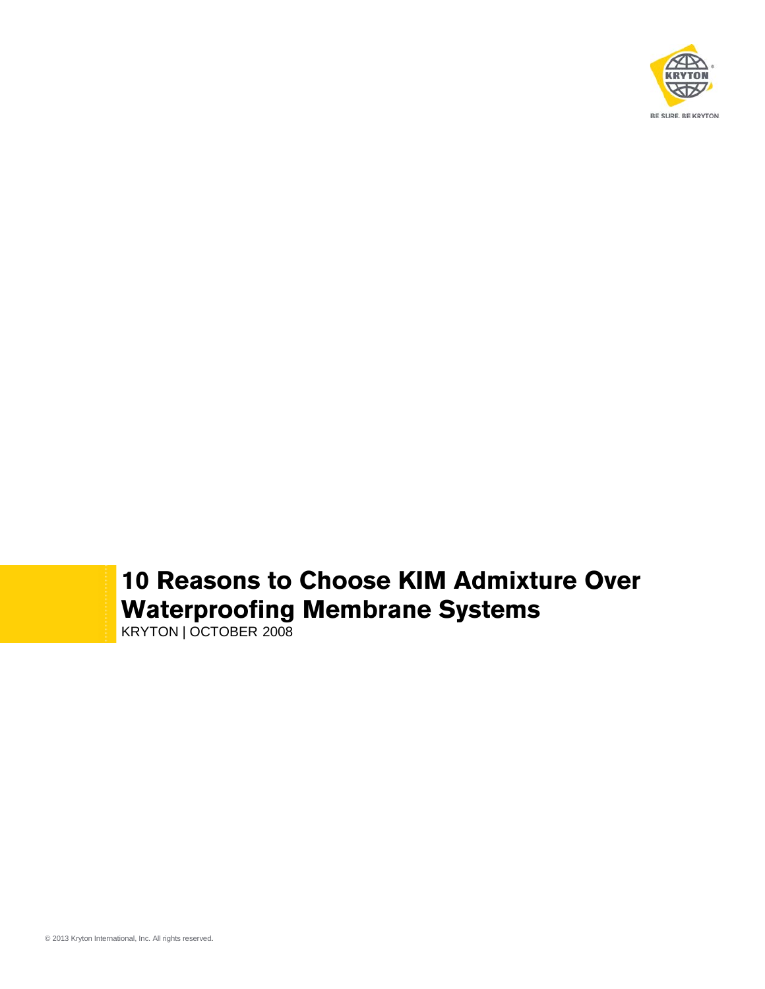

## **10 Reasons to Choose KIM Admixture Over Waterproofing Membrane Systems**

KRYTON | OCTOBER 2008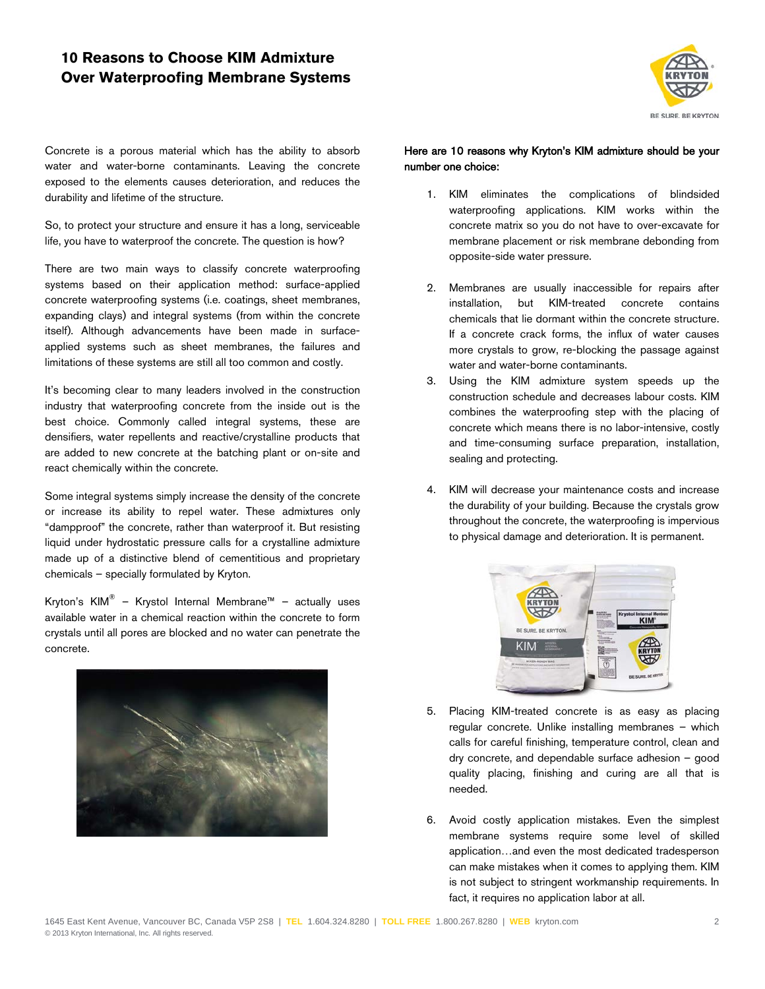## **10 Reasons to Choose KIM Admixture Over Waterproofing Membrane Systems**



Concrete is a porous material which has the ability to absorb water and water-borne contaminants. Leaving the concrete exposed to the elements causes deterioration, and reduces the durability and lifetime of the structure.

So, to protect your structure and ensure it has a long, serviceable life, you have to waterproof the concrete. The question is how?

There are two main ways to classify concrete waterproofing systems based on their application method: surface-applied concrete waterproofing systems (i.e. coatings, sheet membranes, expanding clays) and integral systems (from within the concrete itself). Although advancements have been made in surfaceapplied systems such as sheet membranes, the failures and limitations of these systems are still all too common and costly.

It's becoming clear to many leaders involved in the construction industry that waterproofing concrete from the inside out is the best choice. Commonly called integral systems, these are densifiers, water repellents and reactive/crystalline products that are added to new concrete at the batching plant or on-site and react chemically within the concrete.

Some integral systems simply increase the density of the concrete or increase its ability to repel water. These admixtures only "dampproof" the concrete, rather than waterproof it. But resisting liquid under hydrostatic pressure calls for a crystalline admixture made up of a distinctive blend of cementitious and proprietary chemicals – specially formulated by Kryton.

Kryton's KIM<sup>®</sup> – Krystol Internal Membrane™ – actually uses available water in a chemical reaction within the concrete to form crystals until all pores are blocked and no water can penetrate the concrete.



## Here are 10 reasons why Kryton's KIM admixture should be your number one choice:

- 1. KIM eliminates the complications of blindsided waterproofing applications. KIM works within the concrete matrix so you do not have to over-excavate for membrane placement or risk membrane debonding from opposite-side water pressure.
- 2. Membranes are usually inaccessible for repairs after installation, but KIM-treated concrete contains chemicals that lie dormant within the concrete structure. If a concrete crack forms, the influx of water causes more crystals to grow, re-blocking the passage against water and water-borne contaminants.
- 3. Using the KIM admixture system speeds up the construction schedule and decreases labour costs. KIM combines the waterproofing step with the placing of concrete which means there is no labor-intensive, costly and time-consuming surface preparation, installation, sealing and protecting.
- 4. KIM will decrease your maintenance costs and increase the durability of your building. Because the crystals grow throughout the concrete, the waterproofing is impervious to physical damage and deterioration. It is permanent.



- 5. Placing KIM-treated concrete is as easy as placing regular concrete. Unlike installing membranes – which calls for careful finishing, temperature control, clean and dry concrete, and dependable surface adhesion – good quality placing, finishing and curing are all that is needed.
- 6. Avoid costly application mistakes. Even the simplest membrane systems require some level of skilled application…and even the most dedicated tradesperson can make mistakes when it comes to applying them. KIM is not subject to stringent workmanship requirements. In fact, it requires no application labor at all.